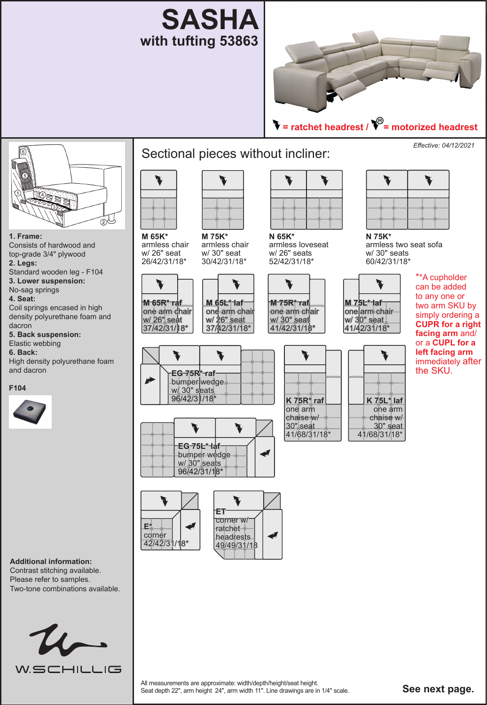



 **= ratchet headrest / = motorized headrest**



**1. Frame:** Consists of hardwood and top-grade 3/4" plywood **2. Legs:** 

Standard wooden leg - F104 **3. Lower suspension:** 

#### No-sag springs

**4. Seat:** 

Coil springs encased in high density polyurethane foam and dacron

**5. Back suspension:** 

Elastic webbing **6. Back:** 

High density polyurethane foam and dacron





#### **Additional information:**  Contrast stitching available.

Please refer to samples. Two-tone combinations available.



# Sectional pieces without incliner:



**M 75K\*** armless chair w/ 30" seat 30/42/31/18\*

**M 65K\*** armless chair w/ 26" seat 26/42/31/18\*

V

**M 65R\* raf**

T

w/ 26" seat

**E\*** corner 42/42/31/18\*



V

J

T

**EG 75L\* laf**  bumper wedge  $w/30$ " seats 96/42/31/18\*

J

**ET** corner w/ ratchet headrests 49/49/31/18

**EG 75R\* raf**  bumper wedge <u>w/</u> 30" s<mark>eats</mark> 96/42/31/18\*



armless loveseat w/ 26" seats 52/42/31/18\*





**M 75L\* laf** one arm chair w/ 30" seat 41/42/31/18\*

 $\blacktriangledown$ 

*Effective: 04/12/2021*



**N 75K\*** armless two seat sofa w/ 30" seats 60/42/31/18\*

\*\*A cupholder can be added to any one or two arm SKU by simply ordering a **CUPR for a right facing arm** and/ or a **CUPL for a left facing arm**  immediately after the SKU.



All measurements are approximate: width/depth/height/seat height.<br>Seat depth 22", arm height 24", arm width 11". Line drawings are in 1/4" scale. **See next page.**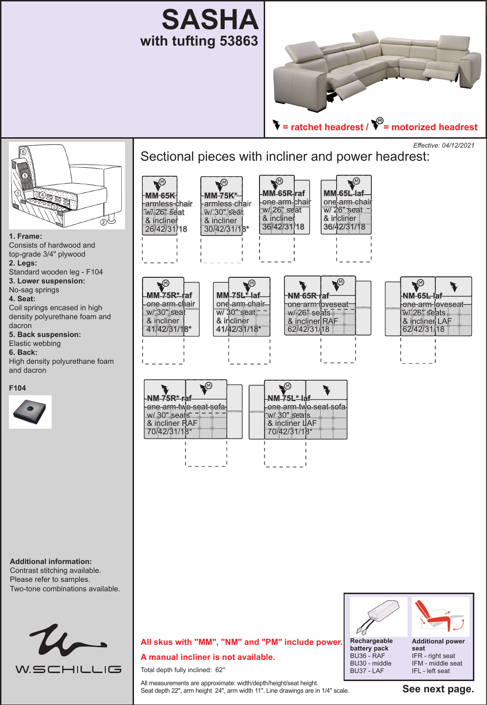



*Effective: 04/12/2021*Sectional pieces with incliner and power headrest: V V ❤ ◥ **MM 65R raf MM 65L laf MM 65K MM 75K\*** one arm chair armless chair one arm chair armless chair  $\overline{w}/\overline{2}6"$  seat  $\overline{\phantom{a}}$ w/ 26" seat w/ 30" seat w/ 26" seat & incliner & incliner & incliner  $\odot$ & incliner 36/42/31/18 36/42/31/18 26/42/31/18 30/42/31/18\* **1. Frame:** Consists of hardwood and top-grade 3/4" plywood **2. Legs:**  Standard wooden leg - F104 **MM-75R\* 3. Lower suspension:**   $\overline{\mathbf{v}}$ "@ ◥ً No-sag springs **MM 75L\* laf NM 65R raf NM-65L-I 4. Seat:**  one arm chair -one-arm-loveseatone arm chair one arm loveseat Coil springs encased in high  $\overline{w/3}0$ " seat $\overline{z}$ w/ 26" seats w/ 30" seat  $\overline{w}$ / 26" seats. density polyurethane foam and  $\&$  incliner & incliner & incliner RAF & incliner LAF dacron 41/42/31/18\* 41/42/31/18\* 62/42/31/18 62/42/31/18 **5. Back suspension:**  Elastic webbing **6. Back:**  High density polyurethane foam and dacron Y **VO F104 NM 75R\* raf NM 75L\* laf** 



**Additional information:** 

Contrast stitching available. Please refer to samples. Two-tone combinations available.



#### one arm two seat sofa w/ 30" seats & incliner RAF 70/42/31/18\* one arm two seat sofa w/ 30" seats & incliner LAF 70/42/31/18\*



**seat** IFR - right seat IFM - middle seat IFL - left seat

**battery pack** BU36 - RAF BU30 - middle BU37 - LAF

## **All skus with "MM", "NM" and "PM" include power. A manual incliner is not available.**

Total depth fully inclined: 62''

All measurements are approximate: width/depth/height/seat height. Seat depth 22", arm height 24", arm width 11". Line drawings are in 1/4" scale.

**See next page.**

J